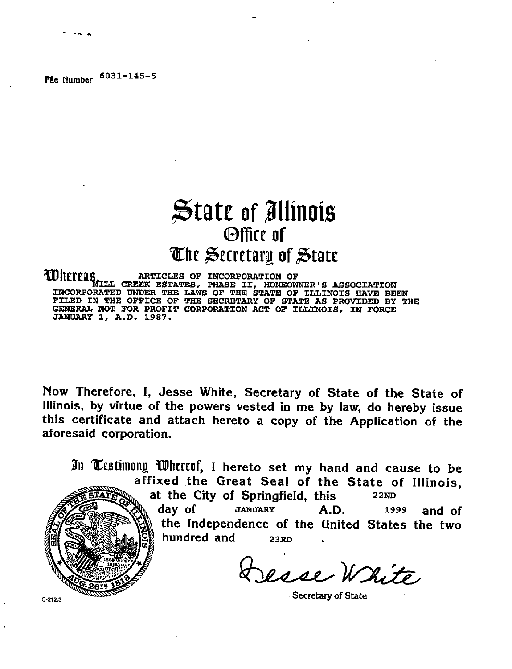## **£»tate of Illinois ©ffice of IChE ^ecretarg of 3tate**

WHETERS ARTICLES OF INCORPORATION OF<br>MILL CREEK ESTATES, PHASE II, HOMEOWNER'S ASSOCIATION<br>INCORPORATED UNDER THE LAWS OF THE STATE OF ILLINOIS HAVE BEEN **FILED IN THE OFFICE OF THE SECRETARY OF STATE AS PROVIDED BY THE GENERAL NOT FOR PROFIT CORPORATION ACT OF ILLINOIS, IN FORCE JANUARY 1, A.D. 1987.**

Now Therefore, I, Jesse White, Secretary of State of the State of Illinois, by virtue of the powers vested in me by law, do hereby issue this certificate and attach hereto a copy of the Application of the aforesaid corporation.

In Testimony Whereof, I hereto set my hand and cause to be affixed the Great Seal of the State of Illinois, at the City of Springfield, this **2 2ND** day of **JANUARY 1999**  $A.D.$   $1999$  and of the Independence of the United States the two hundred and **2 3RD** Desse White

**Secretary of State**

 $C.212.3$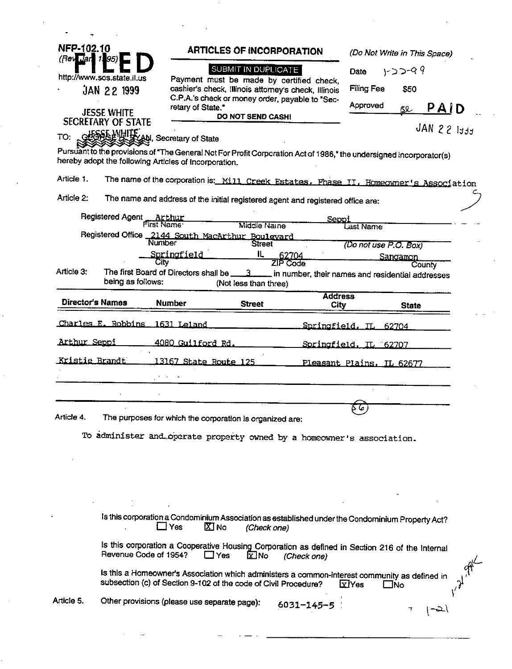| NFP-102.10<br>$($ Rev $\overline{u}$ an 195 |                                       |                                                       | <b>ARTICLES OF INCORPORATION</b>                                                                                                                                 |                                                  |                           | (Do Not Write in This Space) |  |
|---------------------------------------------|---------------------------------------|-------------------------------------------------------|------------------------------------------------------------------------------------------------------------------------------------------------------------------|--------------------------------------------------|---------------------------|------------------------------|--|
|                                             | http://www.sos.state.il.us            |                                                       | SUBMIT IN DUPLICATE                                                                                                                                              | Payment must be made by certified check,         |                           | $1 - 2 - 9$<br>Date          |  |
|                                             | <b>JAN 22 1999</b>                    |                                                       | cashier's check, illinois attorney's check, Illinois                                                                                                             |                                                  | <b>Filing Fee</b><br>\$50 |                              |  |
|                                             | <b>JESSE WHITE</b>                    | retary of State."                                     | C.P.A.'s check or money order, payable to "Sec-                                                                                                                  |                                                  | Approved                  | $PA$ $D$<br>Bl               |  |
|                                             | <b>SECRETARY OF STATE</b>             |                                                       | <b>DO NOT SEND CASH!</b>                                                                                                                                         |                                                  | $JAN$ 22 $I337$           |                              |  |
| TO:                                         |                                       | GESSE MULE AN, Secretary of State                     |                                                                                                                                                                  |                                                  |                           |                              |  |
|                                             |                                       | hereby adopt the following Articles of Incorporation. | Pursuant to the provisions of "The General Not For Profit Corporation Act of 1986," the undersigned incorporator(s)                                              |                                                  |                           |                              |  |
| Article 1.                                  |                                       |                                                       | The name of the corporation is: Mill Creek Estates. Phase II, Homeowner's Association                                                                            |                                                  |                           |                              |  |
| Article 2:                                  |                                       |                                                       | The name and address of the initial registered agent and registered office are:                                                                                  |                                                  |                           |                              |  |
|                                             | Registered Agent Arthur<br>First Name |                                                       | Middle Name                                                                                                                                                      | Seppi                                            |                           |                              |  |
|                                             |                                       | <b>Number</b>                                         | Registered Office 2144 South MacArthur Boulevard<br><b>Street</b>                                                                                                |                                                  | Last Name                 |                              |  |
|                                             |                                       | Springfield<br>City                                   | IL.                                                                                                                                                              | 62704<br>ZIP Code                                | (Do not use P.O. Box)     | Sangamon                     |  |
| Article 3:                                  |                                       | The first Board of Directors shall be _               | -3-                                                                                                                                                              | in number, their names and residential addresses |                           | County                       |  |
|                                             | being as follows:                     |                                                       | (Not less than three)                                                                                                                                            | <b>Address</b>                                   |                           |                              |  |
|                                             | Director's Names                      | <b>Number</b>                                         | <b>Street</b>                                                                                                                                                    | <b>City</b>                                      |                           | <b>State</b>                 |  |
|                                             | Charles E. Robbins                    | 1631 Leland                                           |                                                                                                                                                                  | Springfield. IL 62704                            |                           |                              |  |
| <u>Arthur Seppi</u>                         |                                       | 4080 Guilford Rd.                                     |                                                                                                                                                                  | Springfield, IL 62707                            |                           |                              |  |
| <u>Kristie Brandt</u>                       |                                       | 13167 State Route 125                                 |                                                                                                                                                                  | Pleasant Plains, IL 62677                        |                           |                              |  |
|                                             |                                       |                                                       |                                                                                                                                                                  |                                                  |                           |                              |  |
|                                             |                                       |                                                       |                                                                                                                                                                  |                                                  |                           |                              |  |
|                                             |                                       |                                                       |                                                                                                                                                                  |                                                  | . ما ۹                    |                              |  |
| Article 4.                                  |                                       |                                                       | The purposes for which the corporation is organized are:                                                                                                         |                                                  |                           |                              |  |
|                                             |                                       |                                                       |                                                                                                                                                                  |                                                  |                           |                              |  |
|                                             |                                       |                                                       | To administer and operate property owned by a homeowner's association.                                                                                           |                                                  |                           |                              |  |
|                                             |                                       |                                                       |                                                                                                                                                                  |                                                  |                           |                              |  |
|                                             |                                       |                                                       |                                                                                                                                                                  |                                                  |                           |                              |  |
|                                             |                                       |                                                       |                                                                                                                                                                  |                                                  |                           |                              |  |
|                                             |                                       | $\Box$ Yes<br>$\Sigma$ No                             | Is this corporation a Condominium Association as established under the Condominium Property Act?<br>(Check one)                                                  |                                                  |                           |                              |  |
|                                             | Revenue Code of 1954?                 |                                                       | Is this corporation a Cooperative Housing Corporation as defined in Section 216 of the Internal<br>$\Box$ Yes<br><b>X</b> No                                     | (Check one)                                      |                           |                              |  |
|                                             |                                       |                                                       | Is this a Homeowner's Association which administers a common-interest community as defined in<br>subsection (c) of Section 9-102 of the code of Civil Procedure? |                                                  | <b>x</b> Yes              | ⊟No                          |  |

 $\mathcal{L}_{\text{max}}$  , where  $\mathcal{L}_{\text{max}}$ 

 $\hat{\psi}$